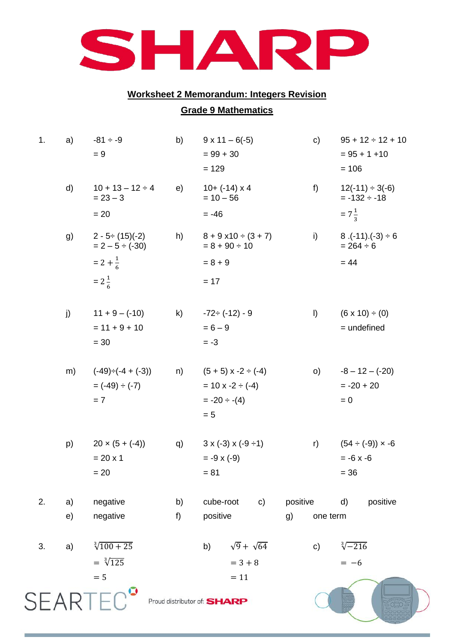

## **Worksheet 2 Memorandum: Integers Revision**

## **Grade 9 Mathematics**

| 1. | a) | $-81 \div -9$<br>$= 9$                                   | b)           | $9 \times 11 - 6(-5)$<br>$= 99 + 30$<br>$= 129$                                        |          | c)                                               | $95 + 12 \div 12 + 10$<br>$= 95 + 1 + 10$<br>$= 106$         |  |  |
|----|----|----------------------------------------------------------|--------------|----------------------------------------------------------------------------------------|----------|--------------------------------------------------|--------------------------------------------------------------|--|--|
|    | d) | $10 + 13 - 12 \div 4$<br>$= 23 - 3$<br>$= 20$            | e)           | $10+ (-14) \times 4$<br>$= 10 - 56$<br>$= -46$                                         | f        |                                                  | $12(-11) \div 3(-6)$<br>$= -132 \div -18$<br>$=7\frac{1}{2}$ |  |  |
|    | g) | $2 - 5 \div (15)(-2)$<br>$= 2 - 5 \div (-30)$            | h)           | $8 + 9 \times 10 \div (3 + 7)$<br>$= 8 + 90 \div 10$                                   | i)       |                                                  | $8.(-11).(-3) \div 6$<br>$= 264 \div 6$                      |  |  |
|    |    | $= 2 + \frac{1}{6}$                                      |              | $= 8 + 9$                                                                              |          |                                                  | $= 44$                                                       |  |  |
|    |    | $=2\frac{1}{6}$                                          |              | $= 17$                                                                                 |          |                                                  |                                                              |  |  |
|    | j) | $11 + 9 - (-10)$<br>$= 11 + 9 + 10$<br>$= 30$            | $\mathsf{k}$ | $-72 \div (-12) - 9$<br>$= 6 - 9$<br>$= -3$                                            | $\vert$  |                                                  | $(6 \times 10) \div (0)$<br>= undefined                      |  |  |
|    | m) | $(-49) \div (-4 + (-3))$<br>$= (-49) \div (-7)$<br>$= 7$ | n)           | $(5 + 5)$ x -2 $\div$ (-4)<br>$= 10 \times -2 \div (-4)$<br>$= -20 \div -(4)$<br>$= 5$ |          | $-8 - 12 - (-20)$<br>O)<br>$= -20 + 20$<br>$= 0$ |                                                              |  |  |
|    | p) | $20 \times (5 + (-4))$<br>$= 20 \times 1$<br>$= 20$      | q)           | $3 \times (-3) \times (-9 \div 1)$<br>$= -9 \times (-9)$<br>$= 81$                     |          | r)                                               | $(54 \div (-9)) \times -6$<br>$= -6 \times -6$<br>$= 36$     |  |  |
| 2. | a) | negative                                                 | b)           | cube-root<br>$\mathsf{c})$                                                             | positive |                                                  | positive<br>d)                                               |  |  |
|    | e) | negative                                                 | f)           | positive                                                                               | g)       | one term                                         |                                                              |  |  |
| 3. | a) | $\sqrt[3]{100+25}$<br>$= \sqrt[3]{125}$                  |              | $\sqrt{9} + \sqrt{64}$<br>b)<br>$= 3 + 8$                                              |          | c)                                               | $\sqrt[3]{-216}$<br>$=-6$                                    |  |  |
|    |    | $= 5$<br><b>SEARTEC</b>                                  |              | $= 11$<br>Proud distributor of: SHARP                                                  |          |                                                  |                                                              |  |  |